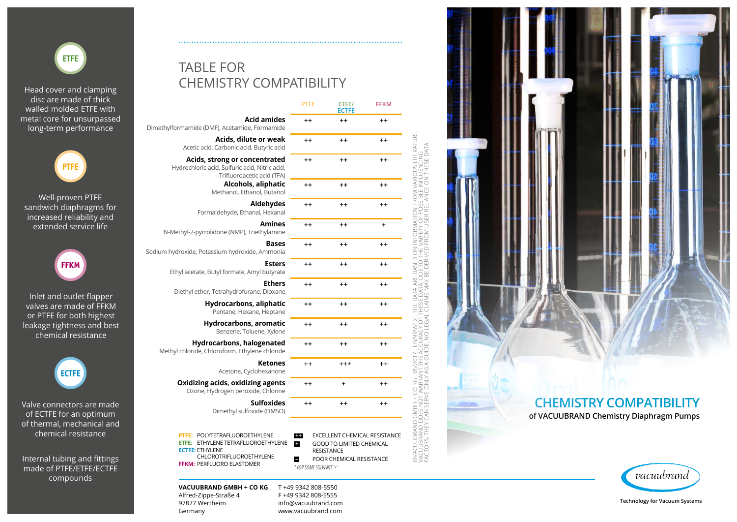

Head cover and clamping disc are made of thick walled molded ETFE with metal core for unsurpassed long-term performance



Well-proven PTFE sandwich diaphragms for increased reliability and extended service life



Inlet and outlet flapper valves are made of FFKM or PTFE for both highest leakage tightness and best chemical resistance



Valve connectors are made of ECTFE for an optimum of thermal, mechanical and chemical resistance

Internal tubing and fittings made of PTFE/ETFE/ECTFE compounds

## Tab l e for chemistry compatibi lity

|                                                                                                                                                                 | <b>PTFE</b>                                                                                                                                                        | ETFE/<br><b>ECTFE</b> | <b>FFKM</b>     |
|-----------------------------------------------------------------------------------------------------------------------------------------------------------------|--------------------------------------------------------------------------------------------------------------------------------------------------------------------|-----------------------|-----------------|
| <b>Acid amides</b><br>Dimethylformamide (DMF), Acetamide, Formamide                                                                                             | $^{++}$                                                                                                                                                            | $++$                  | $++$            |
| Acids, dilute or weak<br>Acetic acid, Carbonic acid, Butyric acid                                                                                               | $^{++}$                                                                                                                                                            | $^{\mathrm{+}}$       | $^{++}$         |
| Acids, strong or concentrated<br>Hydrochloric acid, Sulfuric acid, Nitric acid,<br>Trifluoroacetic acid (TFA)                                                   | $++$                                                                                                                                                               | $^{++}$               | $^{++}$         |
| Alcohols, aliphatic<br>Methanol, Ethanol, Butanol                                                                                                               | $++$                                                                                                                                                               | $^{\mathrm{+}}$       | $^{\mathrm{+}}$ |
| Aldehydes<br>Formaldehyde, Ethanal, Hexanal                                                                                                                     | $++$                                                                                                                                                               | $^{++}$               | $^{++}$         |
| Amines<br>N-Methyl-2-pyrrolidone (NMP), Triethylamine                                                                                                           | $^{++}$                                                                                                                                                            | $^{++}$               | $\ddot{}$       |
| Bases<br>Sodium hydroxide, Potassium hydroxide, Ammonia                                                                                                         | $++$                                                                                                                                                               | $^{\mathrm{+}}$       | $^{++}$         |
| <b>Esters</b><br>Ethyl acetate, Butyl formate, Amyl butyrate                                                                                                    | $^{++}$                                                                                                                                                            | $^{\mathrm{+}}$       | $^{++}$         |
| <b>Ethers</b><br>Diethyl ether, Tetrahydrofurane, Dioxane                                                                                                       | $++$                                                                                                                                                               | $^{++}$               | $^{++}$         |
| Hydrocarbons, aliphatic<br>Pentane, Hexane, Heptane                                                                                                             | $^{++}$                                                                                                                                                            | $^{++}$               | $^{++}$         |
| Hydrocarbons, aromatic<br>Benzene, Toluene, Xylene                                                                                                              | $++$                                                                                                                                                               | $++$                  | $^{++}$         |
| Hydrocarbons, halogenated<br>Methyl chloride, Chloroform, Ethylene chloride                                                                                     | $++$                                                                                                                                                               | $^{++}$               | $^{++}$         |
| <b>Ketones</b><br>Acetone, Cyclohexanone                                                                                                                        | $++$                                                                                                                                                               | $***$                 | $++$            |
| Oxidizing acids, oxidizing agents<br>Ozone, Hydrogen peroxide, Chlorine                                                                                         | $^{++}$                                                                                                                                                            | +                     | $^{++}$         |
| <b>Sulfoxides</b><br>Dimethyl sulfoxide (DMSO)                                                                                                                  | $^{++}$                                                                                                                                                            | $^{++}$               | $^{++}$         |
| POLYTETRAFLUOROETHYLENE<br>PTFE:<br>ETFE: ETHYLENE TETRAFLUOROETHYLENE<br><b>ECTFE: ETHYLENE</b><br>CHLOROTRIFLUOROETHYLENE<br><b>FFKM: PERFLUORO ELASTOMER</b> | EXCELLENT CHEMICAL RESISTANCE<br>$\pm\pm$<br>ø<br><b>GOOD TO LIMITED CHEMICAL</b><br><b>RESISTANCE</b><br>POOR CHEMICAL RESISTANCE<br>в<br>* FOR SOME SOLVENTS '+' |                       |                 |

Alfred-Zippe-Straße 4 97877 Wertheim F +49 9342 808-5555 info@vacuubrand.com www.vacuubrand.com

Germany